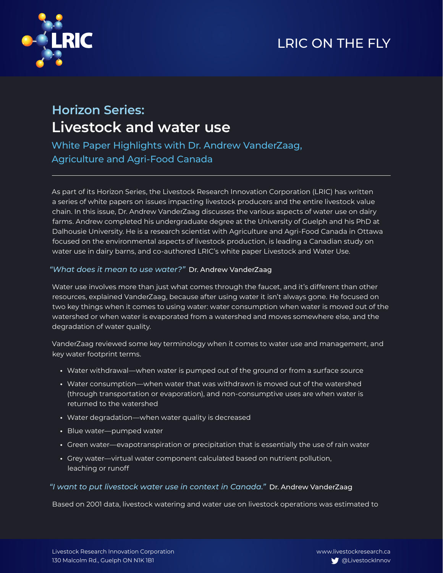## LRIC ON THE FLY



# **Horizon Series: Livestock and water use**

White Paper Highlights with Dr. Andrew VanderZaag, Agriculture and Agri-Food Canada

As part of its Horizon Series, the Livestock Research Innovation Corporation (LRIC) has written a series of white papers on issues impacting livestock producers and the entire livestock value chain. In this issue, Dr. Andrew VanderZaag discusses the various aspects of water use on dairy farms. Andrew completed his undergraduate degree at the University of Guelph and his PhD at Dalhousie University. He is a research scientist with Agriculture and Agri-Food Canada in Ottawa focused on the environmental aspects of livestock production, is leading a Canadian study on water use in dairy barns, and co-authored LRIC's white paper Livestock and Water Use.

#### *"What does it mean to use water?"* Dr. Andrew VanderZaag

Water use involves more than just what comes through the faucet, and it's different than other resources, explained VanderZaag, because after using water it isn't always gone. He focused on two key things when it comes to using water: water consumption when water is moved out of the watershed or when water is evaporated from a watershed and moves somewhere else, and the degradation of water quality.

VanderZaag reviewed some key terminology when it comes to water use and management, and key water footprint terms.

- **•** Water withdrawal—when water is pumped out of the ground or from a surface source
- **•** Water consumption—when water that was withdrawn is moved out of the watershed (through transportation or evaporation), and non-consumptive uses are when water is returned to the watershed
- **•** Water degradation—when water quality is decreased
- **•** Blue water—pumped water
- **•** Green water—evapotranspiration or precipitation that is essentially the use of rain water
- **•** Grey water—virtual water component calculated based on nutrient pollution, leaching or runoff

#### *"I want to put livestock water use in context in Canada."* Dr. Andrew VanderZaag

Based on 2001 data, livestock watering and water use on livestock operations was estimated to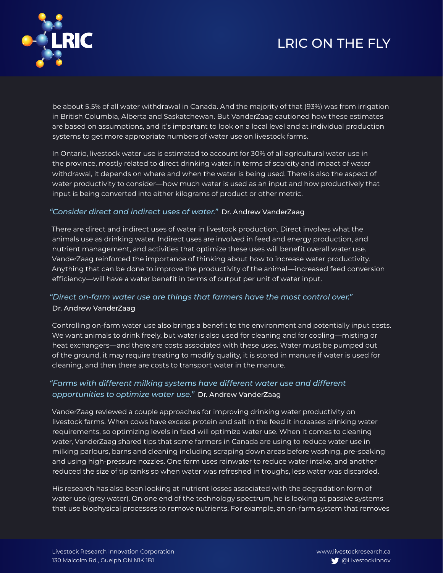# LRIC ON THE FLY



be about 5.5% of all water withdrawal in Canada. And the majority of that (93%) was from irrigation in British Columbia, Alberta and Saskatchewan. But VanderZaag cautioned how these estimates are based on assumptions, and it's important to look on a local level and at individual production systems to get more appropriate numbers of water use on livestock farms.

In Ontario, livestock water use is estimated to account for 30% of all agricultural water use in the province, mostly related to direct drinking water. In terms of scarcity and impact of water withdrawal, it depends on where and when the water is being used. There is also the aspect of water productivity to consider—how much water is used as an input and how productively that input is being converted into either kilograms of product or other metric.

### *"Consider direct and indirect uses of water."* Dr. Andrew VanderZaag

There are direct and indirect uses of water in livestock production. Direct involves what the animals use as drinking water. Indirect uses are involved in feed and energy production, and nutrient management, and activities that optimize these uses will benefit overall water use. VanderZaag reinforced the importance of thinking about how to increase water productivity. Anything that can be done to improve the productivity of the animal—increased feed conversion efficiency—will have a water benefit in terms of output per unit of water input.

### *"Direct on-farm water use are things that farmers have the most control over."* Dr. Andrew VanderZaag

Controlling on-farm water use also brings a benefit to the environment and potentially input costs. We want animals to drink freely, but water is also used for cleaning and for cooling—misting or heat exchangers—and there are costs associated with these uses. Water must be pumped out of the ground, it may require treating to modify quality, it is stored in manure if water is used for cleaning, and then there are costs to transport water in the manure.

### *"Farms with different milking systems have different water use and different opportunities to optimize water use."* Dr. Andrew VanderZaag

VanderZaag reviewed a couple approaches for improving drinking water productivity on livestock farms. When cows have excess protein and salt in the feed it increases drinking water requirements, so optimizing levels in feed will optimize water use. When it comes to cleaning water, VanderZaag shared tips that some farmers in Canada are using to reduce water use in milking parlours, barns and cleaning including scraping down areas before washing, pre-soaking and using high-pressure nozzles. One farm uses rainwater to reduce water intake, and another reduced the size of tip tanks so when water was refreshed in troughs, less water was discarded.

His research has also been looking at nutrient losses associated with the degradation form of water use (grey water). On one end of the technology spectrum, he is looking at passive systems that use biophysical processes to remove nutrients. For example, an on-farm system that removes